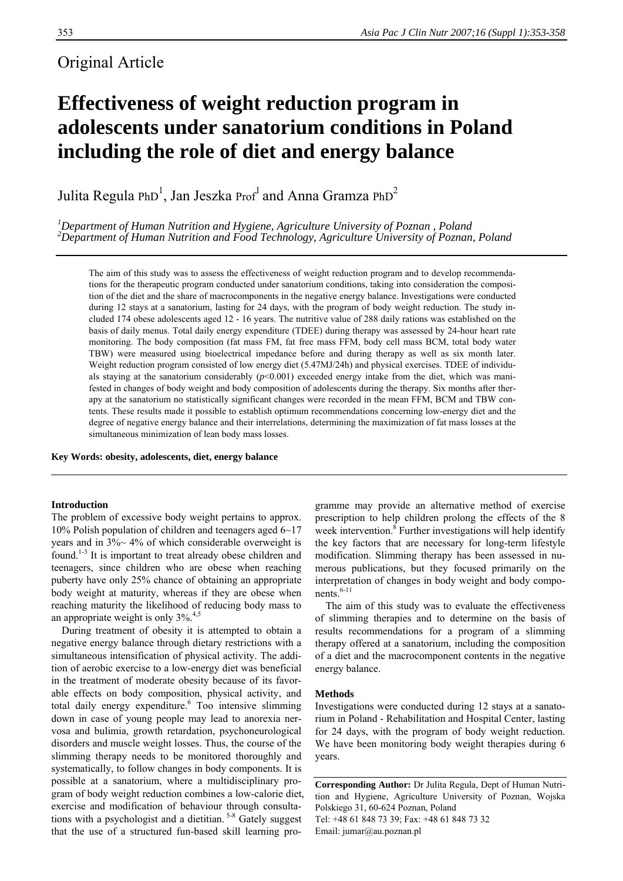l.

# Original Article

# **Effectiveness of weight reduction program in adolescents under sanatorium conditions in Poland including the role of diet and energy balance**

Julita Regula PhD<sup>1</sup>, Jan Jeszka Prof<sup>1</sup> and Anna Gramza PhD<sup>2</sup>

*1 Department of Human Nutrition and Hygiene, Agriculture University of Poznan , Poland 2 Department of Human Nutrition and Food Technology, Agriculture University of Poznan, Poland* 

The aim of this study was to assess the effectiveness of weight reduction program and to develop recommendations for the therapeutic program conducted under sanatorium conditions, taking into consideration the composition of the diet and the share of macrocomponents in the negative energy balance. Investigations were conducted during 12 stays at a sanatorium, lasting for 24 days, with the program of body weight reduction. The study included 174 obese adolescents aged 12 - 16 years. The nutritive value of 288 daily rations was established on the basis of daily menus. Total daily energy expenditure (TDEE) during therapy was assessed by 24-hour heart rate monitoring. The body composition (fat mass FM, fat free mass FFM, body cell mass BCM, total body water TBW) were measured using bioelectrical impedance before and during therapy as well as six month later. Weight reduction program consisted of low energy diet (5.47MJ/24h) and physical exercises. TDEE of individuals staying at the sanatorium considerably ( $p$ <0.001) exceeded energy intake from the diet, which was manifested in changes of body weight and body composition of adolescents during the therapy. Six months after therapy at the sanatorium no statistically significant changes were recorded in the mean FFM, BCM and TBW contents. These results made it possible to establish optimum recommendations concerning low-energy diet and the degree of negative energy balance and their interrelations, determining the maximization of fat mass losses at the simultaneous minimization of lean body mass losses.

**Key Words: obesity, adolescents, diet, energy balance** 

# **Introduction**

The problem of excessive body weight pertains to approx. 10% Polish population of children and teenagers aged 6~17 years and in 3%~ 4% of which considerable overweight is found.1-3 It is important to treat already obese children and teenagers, since children who are obese when reaching puberty have only 25% chance of obtaining an appropriate body weight at maturity, whereas if they are obese when reaching maturity the likelihood of reducing body mass to an appropriate weight is only  $3\%$ <sup>4,5</sup>

During treatment of obesity it is attempted to obtain a negative energy balance through dietary restrictions with a simultaneous intensification of physical activity. The addition of aerobic exercise to a low-energy diet was beneficial in the treatment of moderate obesity because of its favorable effects on body composition, physical activity, and total daily energy expenditure.<sup>6</sup> Too intensive slimming down in case of young people may lead to anorexia nervosa and bulimia, growth retardation, psychoneurological disorders and muscle weight losses. Thus, the course of the slimming therapy needs to be monitored thoroughly and systematically, to follow changes in body components. It is possible at a sanatorium, where a multidisciplinary program of body weight reduction combines a low-calorie diet, exercise and modification of behaviour through consultations with a psychologist and a dietitian.  $5-8$  Gately suggest that the use of a structured fun-based skill learning pro-

gramme may provide an alternative method of exercise prescription to help children prolong the effects of the 8 week intervention.<sup>8</sup> Further investigations will help identify the key factors that are necessary for long-term lifestyle modification. Slimming therapy has been assessed in numerous publications, but they focused primarily on the interpretation of changes in body weight and body components. $6-11$ 

The aim of this study was to evaluate the effectiveness of slimming therapies and to determine on the basis of results recommendations for a program of a slimming therapy offered at a sanatorium, including the composition of a diet and the macrocomponent contents in the negative energy balance.

# **Methods**

Investigations were conducted during 12 stays at a sanatorium in Poland - Rehabilitation and Hospital Center, lasting for 24 days, with the program of body weight reduction. We have been monitoring body weight therapies during 6 years.

**Corresponding Author:** Dr Julita Regula, Dept of Human Nutrition and Hygiene, Agriculture University of Poznan, Wojska Polskiego 31, 60-624 Poznan, Poland Tel: +48 61 848 73 39; Fax: +48 61 848 73 32 Email: jumar@au.poznan.pl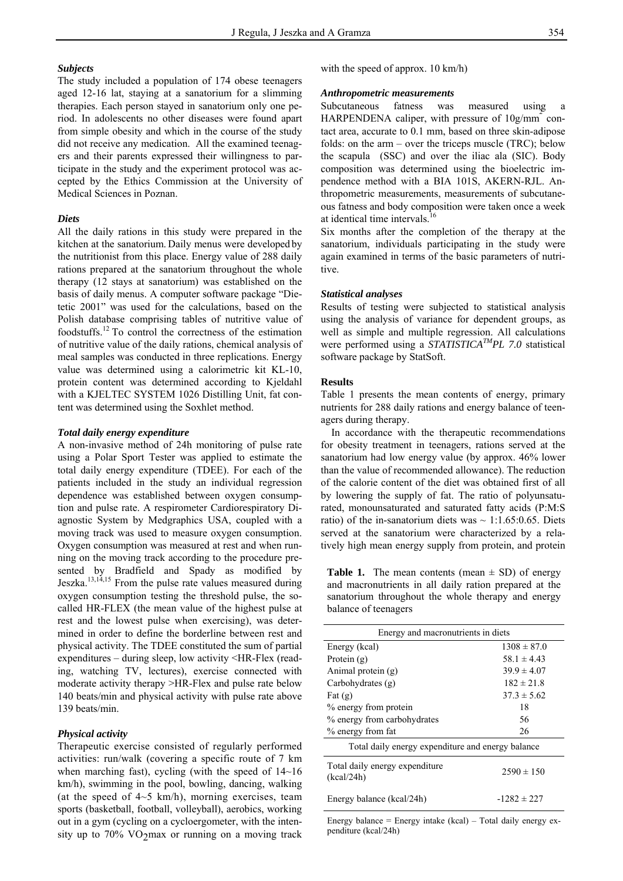#### *Subjects*

The study included a population of 174 obese teenagers aged 12-16 lat, staying at a sanatorium for a slimming therapies. Each person stayed in sanatorium only one period. In adolescents no other diseases were found apart from simple obesity and which in the course of the study did not receive any medication. All the examined teenagers and their parents expressed their willingness to participate in the study and the experiment protocol was accepted by the Ethics Commission at the University of Medical Sciences in Poznan.

### *Diets*

All the daily rations in this study were prepared in the kitchen at the sanatorium. Daily menus were developed by the nutritionist from this place. Energy value of 288 daily rations prepared at the sanatorium throughout the whole therapy (12 stays at sanatorium) was established on the basis of daily menus. A computer software package "Dietetic 2001" was used for the calculations, based on the Polish database comprising tables of nutritive value of foodstuffs.12 To control the correctness of the estimation of nutritive value of the daily rations, chemical analysis of meal samples was conducted in three replications. Energy value was determined using a calorimetric kit KL-10, protein content was determined according to Kjeldahl with a KJELTEC SYSTEM 1026 Distilling Unit, fat content was determined using the Soxhlet method.

#### *Total daily energy expenditure*

A non-invasive method of 24h monitoring of pulse rate using a Polar Sport Tester was applied to estimate the total daily energy expenditure (TDEE). For each of the patients included in the study an individual regression dependence was established between oxygen consumption and pulse rate. A respirometer Cardiorespiratory Diagnostic System by Medgraphics USA, coupled with a moving track was used to measure oxygen consumption. Oxygen consumption was measured at rest and when running on the moving track according to the procedure presented by Bradfield and Spady as modified by Jeszka. $13,14,15$  From the pulse rate values measured during oxygen consumption testing the threshold pulse, the socalled HR-FLEX (the mean value of the highest pulse at rest and the lowest pulse when exercising), was determined in order to define the borderline between rest and physical activity. The TDEE constituted the sum of partial expenditures – during sleep, low activity <HR-Flex (reading, watching TV, lectures), exercise connected with moderate activity therapy >HR-Flex and pulse rate below 140 beats/min and physical activity with pulse rate above 139 beats/min.

#### *Physical activity*

Therapeutic exercise consisted of regularly performed activities: run/walk (covering a specific route of 7 km when marching fast), cycling (with the speed of 14~16 km/h), swimming in the pool, bowling, dancing, walking (at the speed of  $4~5$  km/h), morning exercises, team sports (basketball, football, volleyball), aerobics, working out in a gym (cycling on a cycloergometer, with the intensity up to  $70\%$  VO<sub>2</sub>max or running on a moving track with the speed of approx. 10 km/h)

#### *Anthropometric measurements*

Subcutaneous fatness was measured using a  $HARPENDENA$  caliper, with pressure of  $10g/mm^2$  contact area, accurate to 0.1 mm, based on three skin-adipose folds: on the arm – over the triceps muscle (TRC); below the scapula (SSC) and over the iliac ala (SIC). Body composition was determined using the bioelectric impendence method with a BIA 101S, AKERN-RJL. Anthropometric measurements, measurements of subcutaneous fatness and body composition were taken once a week at identical time intervals.16

Six months after the completion of the therapy at the sanatorium, individuals participating in the study were again examined in terms of the basic parameters of nutritive.

# *Statistical analyses*

Results of testing were subjected to statistical analysis using the analysis of variance for dependent groups, as well as simple and multiple regression. All calculations were performed using a *STATISTICATMPL 7.0* statistical software package by StatSoft.

# **Results**

Table 1 presents the mean contents of energy, primary nutrients for 288 daily rations and energy balance of teenagers during therapy.

In accordance with the therapeutic recommendations for obesity treatment in teenagers, rations served at the sanatorium had low energy value (by approx. 46% lower than the value of recommended allowance). The reduction of the calorie content of the diet was obtained first of all by lowering the supply of fat. The ratio of polyunsaturated, monounsaturated and saturated fatty acids (P:M:S ratio) of the in-sanatorium diets was  $\sim 1:1.65:0.65$ . Diets served at the sanatorium were characterized by a relatively high mean energy supply from protein, and protein

**Table 1.** The mean contents (mean  $\pm$  SD) of energy and macronutrients in all daily ration prepared at the sanatorium throughout the whole therapy and energy balance of teenagers

| Energy and macronutrients in diets                |                 |  |  |  |
|---------------------------------------------------|-----------------|--|--|--|
| Energy (kcal)                                     | $1308 \pm 87.0$ |  |  |  |
| Protein $(g)$                                     | $58.1 \pm 4.43$ |  |  |  |
| Animal protein (g)                                | $39.9 \pm 4.07$ |  |  |  |
| Carbohydrates $(g)$                               | $182 \pm 21.8$  |  |  |  |
| Fat $(g)$                                         | $37.3 \pm 5.62$ |  |  |  |
| 18<br>% energy from protein                       |                 |  |  |  |
| 56<br>% energy from carbohydrates                 |                 |  |  |  |
| % energy from fat                                 | 26              |  |  |  |
| Total daily energy expenditure and energy balance |                 |  |  |  |
| Total daily energy expenditure<br>(kcal/24h)      | $2590 \pm 150$  |  |  |  |
| Energy balance (kcal/24h)                         | $-1282 \pm 227$ |  |  |  |

Energy balance = Energy intake  $(kcal)$  – Total daily energy expenditure (kcal/24h)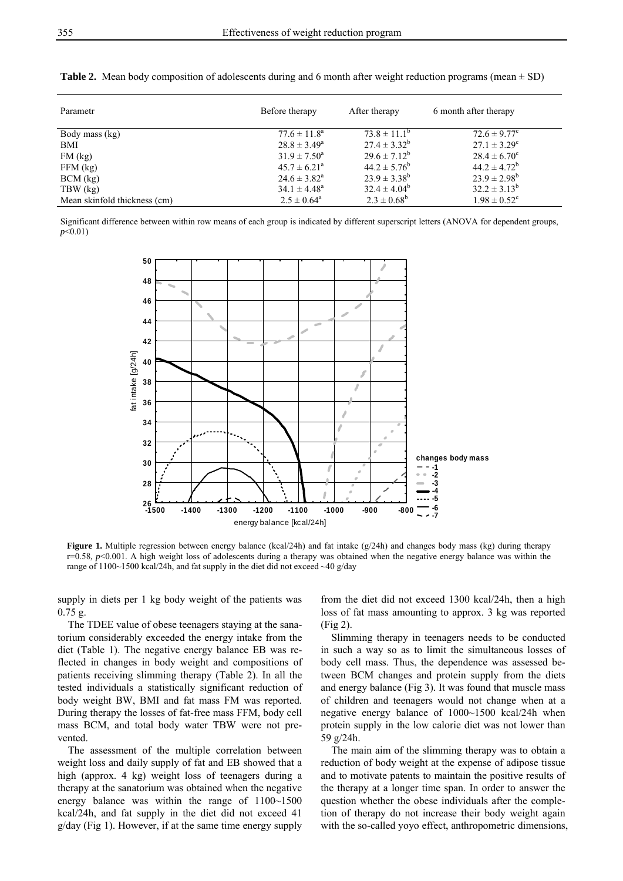| Parametr                     | Before therapy          | After therapy           | 6 month after therapy        |
|------------------------------|-------------------------|-------------------------|------------------------------|
| Body mass (kg)               | $77.6 \pm 11.8^{\circ}$ | $73.8 \pm 11.1^{\circ}$ | $72.6 \pm 9.77^c$            |
| BMI                          | $28.8 \pm 3.49^{\circ}$ | $27.4 \pm 3.32^b$       | $27.1 \pm 3.29^{\circ}$      |
| FM(kg)                       | $31.9 \pm 7.50^{\circ}$ | $29.6 \pm 7.12^b$       | $28.4 \pm 6.70^{\circ}$      |
| $FFM$ (kg)                   | $45.7 \pm 6.21^{\circ}$ | $44.2 \pm 5.76^b$       | $44.2 \pm 4.72^b$            |
| $BCM$ (kg)                   | $24.6 \pm 3.82^{\circ}$ | $23.9 \pm 3.38^b$       | $23.9 \pm 2.98^b$            |
| TBW (kg)                     | $34.1 \pm 4.48^{\circ}$ | $32.4 \pm 4.04^b$       | $32.2 \pm 3.13^b$            |
| Mean skinfold thickness (cm) | $2.5 \pm 0.64^{\circ}$  | $2.3 \pm 0.68^b$        | $1.98 \pm 0.52$ <sup>c</sup> |

**Table 2.** Mean body composition of adolescents during and 6 month after weight reduction programs (mean  $\pm$  SD)

Significant difference between within row means of each group is indicated by different superscript letters (ANOVA for dependent groups, *p*<0.01)



**Figure 1.** Multiple regression between energy balance (kcal/24h) and fat intake (g/24h) and changes body mass (kg) during therapy r=0.58*, p*<0.001. A high weight loss of adolescents during a therapy was obtained when the negative energy balance was within the range of  $1100~1500$  kcal/24h, and fat supply in the diet did not exceed  $~40$  g/day

supply in diets per 1 kg body weight of the patients was 0.75 g.

The TDEE value of obese teenagers staying at the sanatorium considerably exceeded the energy intake from the diet (Table 1). The negative energy balance EB was reflected in changes in body weight and compositions of patients receiving slimming therapy (Table 2). In all the tested individuals a statistically significant reduction of body weight BW, BMI and fat mass FM was reported. During therapy the losses of fat-free mass FFM, body cell mass BCM, and total body water TBW were not prevented.

The assessment of the multiple correlation between weight loss and daily supply of fat and EB showed that a high (approx. 4 kg) weight loss of teenagers during a therapy at the sanatorium was obtained when the negative energy balance was within the range of 1100~1500 kcal/24h, and fat supply in the diet did not exceed 41 g/day (Fig 1). However, if at the same time energy supply

from the diet did not exceed 1300 kcal/24h, then a high loss of fat mass amounting to approx. 3 kg was reported (Fig 2).

Slimming therapy in teenagers needs to be conducted in such a way so as to limit the simultaneous losses of body cell mass. Thus, the dependence was assessed between BCM changes and protein supply from the diets and energy balance (Fig 3). It was found that muscle mass of children and teenagers would not change when at a negative energy balance of 1000~1500 kcal/24h when protein supply in the low calorie diet was not lower than 59 g/24h.

The main aim of the slimming therapy was to obtain a reduction of body weight at the expense of adipose tissue and to motivate patents to maintain the positive results of the therapy at a longer time span. In order to answer the question whether the obese individuals after the completion of therapy do not increase their body weight again with the so-called yoyo effect, anthropometric dimensions,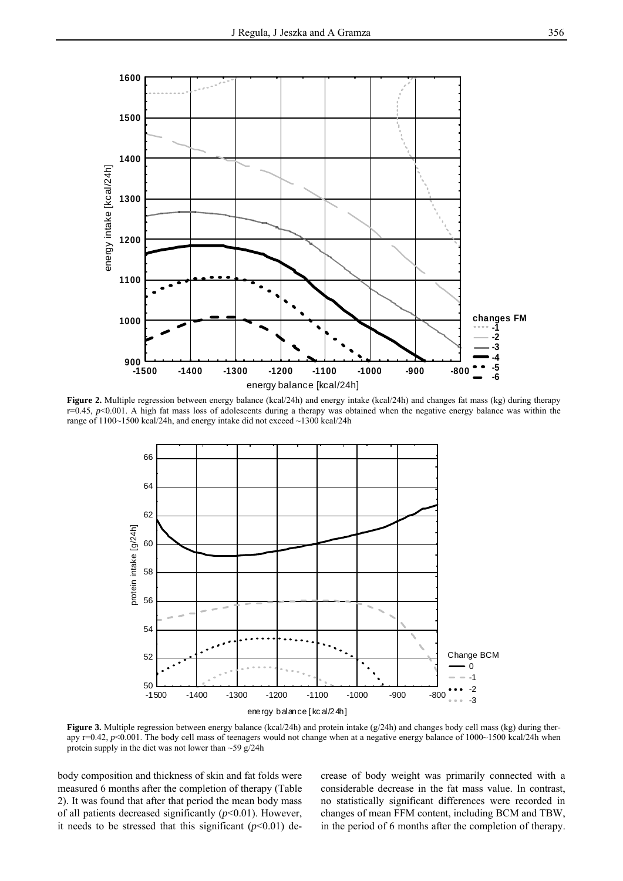

**Figure 2.** Multiple regression between energy balance (kcal/24h) and energy intake (kcal/24h) and changes fat mass (kg) during therapy  $r=0.45$ ,  $p<0.001$ . A high fat mass loss of adolescents during a therapy was obtained when the negative energy balance was within the range of 1100~1500 kcal/24h, and energy intake did not exceed ~1300 kcal/24h



**Figure 3.** Multiple regression between energy balance (kcal/24h) and protein intake (g/24h) and changes body cell mass (kg) during therapy r=0.42, p<0.001. The body cell mass of teenagers would not change when at a negative energy balance of 1000~1500 kcal/24h when protein supply in the diet was not lower than ~59 g/24h

body composition and thickness of skin and fat folds were measured 6 months after the completion of therapy (Table 2). It was found that after that period the mean body mass of all patients decreased significantly  $(p<0.01)$ . However, it needs to be stressed that this significant  $(p<0.01)$  de-

crease of body weight was primarily connected with a considerable decrease in the fat mass value. In contrast, no statistically significant differences were recorded in changes of mean FFM content, including BCM and TBW, in the period of 6 months after the completion of therapy.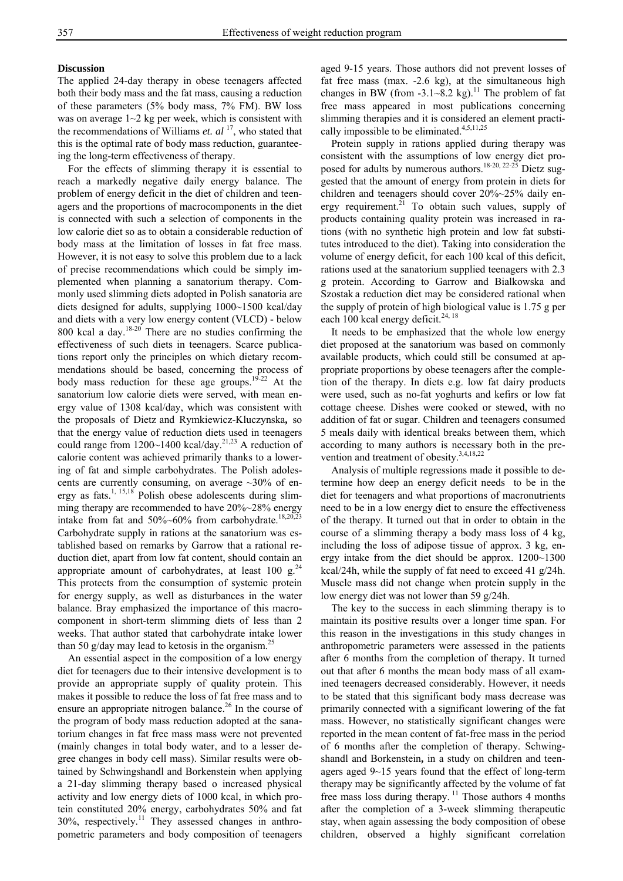# **Discussion**

The applied 24-day therapy in obese teenagers affected both their body mass and the fat mass, causing a reduction of these parameters (5% body mass, 7% FM). BW loss was on average  $1~2$  kg per week, which is consistent with the recommendations of Williams *et. al* 17, who stated that this is the optimal rate of body mass reduction, guaranteeing the long-term effectiveness of therapy.

For the effects of slimming therapy it is essential to reach a markedly negative daily energy balance. The problem of energy deficit in the diet of children and teenagers and the proportions of macrocomponents in the diet is connected with such a selection of components in the low calorie diet so as to obtain a considerable reduction of body mass at the limitation of losses in fat free mass. However, it is not easy to solve this problem due to a lack of precise recommendations which could be simply implemented when planning a sanatorium therapy. Commonly used slimming diets adopted in Polish sanatoria are diets designed for adults, supplying 1000~1500 kcal/day and diets with a very low energy content (VLCD) - below 800 kcal a day. $18-20$  There are no studies confirming the effectiveness of such diets in teenagers. Scarce publications report only the principles on which dietary recommendations should be based, concerning the process of body mass reduction for these age groups.<sup>19-22</sup> At the sanatorium low calorie diets were served, with mean energy value of 1308 kcal/day, which was consistent with the proposals of Dietz and Rymkiewicz-Kluczynska**,** so that the energy value of reduction diets used in teenagers could range from 1200~1400 kcal/day.<sup>21,23</sup> A reduction of calorie content was achieved primarily thanks to a lowering of fat and simple carbohydrates. The Polish adolescents are currently consuming, on average  $\sim$ 30% of energy as fats.<sup>1, 15,18</sup> Polish obese adolescents during slimming therapy are recommended to have 20%~28% energy intake from fat and  $50\%$ ~60% from carbohydrate.<sup>18,20,23</sup> Carbohydrate supply in rations at the sanatorium was established based on remarks by Garrow that a rational reduction diet, apart from low fat content, should contain an appropriate amount of carbohydrates, at least 100 g. $^{24}$ This protects from the consumption of systemic protein for energy supply, as well as disturbances in the water balance. Bray emphasized the importance of this macrocomponent in short-term slimming diets of less than 2 weeks. That author stated that carbohydrate intake lower than 50 g/day may lead to ketosis in the organism.<sup>25</sup>

An essential aspect in the composition of a low energy diet for teenagers due to their intensive development is to provide an appropriate supply of quality protein. This makes it possible to reduce the loss of fat free mass and to ensure an appropriate nitrogen balance.<sup>26</sup> In the course of the program of body mass reduction adopted at the sanatorium changes in fat free mass mass were not prevented (mainly changes in total body water, and to a lesser degree changes in body cell mass). Similar results were obtained by Schwingshandl and Borkenstein when applying a 21-day slimming therapy based o increased physical activity and low energy diets of 1000 kcal, in which protein constituted 20% energy, carbohydrates 50% and fat 30%, respectively.11 They assessed changes in anthropometric parameters and body composition of teenagers

aged 9-15 years. Those authors did not prevent losses of fat free mass (max. -2.6 kg), at the simultaneous high changes in BW (from -3.1~8.2 kg).<sup>11</sup> The problem of fat free mass appeared in most publications concerning slimming therapies and it is considered an element practically impossible to be eliminated.<sup>4,5,11,25</sup>

Protein supply in rations applied during therapy was consistent with the assumptions of low energy diet proposed for adults by numerous authors.<sup>18-20, 22-25</sup> Dietz suggested that the amount of energy from protein in diets for children and teenagers should cover 20%~25% daily energy requirement. $21$  To obtain such values, supply of products containing quality protein was increased in rations (with no synthetic high protein and low fat substitutes introduced to the diet). Taking into consideration the volume of energy deficit, for each 100 kcal of this deficit, rations used at the sanatorium supplied teenagers with 2.3 g protein. According to Garrow and Bialkowska and Szostak a reduction diet may be considered rational when the supply of protein of high biological value is 1.75 g per each 100 kcal energy deficit.<sup>24, 18</sup>

It needs to be emphasized that the whole low energy diet proposed at the sanatorium was based on commonly available products, which could still be consumed at appropriate proportions by obese teenagers after the completion of the therapy. In diets e.g. low fat dairy products were used, such as no-fat yoghurts and kefirs or low fat cottage cheese. Dishes were cooked or stewed, with no addition of fat or sugar. Children and teenagers consumed 5 meals daily with identical breaks between them, which according to many authors is necessary both in the prevention and treatment of obesity.<sup>3,4,18,22</sup>

Analysis of multiple regressions made it possible to determine how deep an energy deficit needs to be in the diet for teenagers and what proportions of macronutrients need to be in a low energy diet to ensure the effectiveness of the therapy. It turned out that in order to obtain in the course of a slimming therapy a body mass loss of 4 kg, including the loss of adipose tissue of approx. 3 kg, energy intake from the diet should be approx. 1200~1300 kcal/24h, while the supply of fat need to exceed 41 g/24h. Muscle mass did not change when protein supply in the low energy diet was not lower than 59 g/24h.

The key to the success in each slimming therapy is to maintain its positive results over a longer time span. For this reason in the investigations in this study changes in anthropometric parameters were assessed in the patients after 6 months from the completion of therapy. It turned out that after 6 months the mean body mass of all examined teenagers decreased considerably. However, it needs to be stated that this significant body mass decrease was primarily connected with a significant lowering of the fat mass. However, no statistically significant changes were reported in the mean content of fat-free mass in the period of 6 months after the completion of therapy. Schwingshandl and Borkenstein**,** in a study on children and teenagers aged 9~15 years found that the effect of long-term therapy may be significantly affected by the volume of fat free mass loss during therapy.<sup>11</sup> Those authors 4 months after the completion of a 3-week slimming therapeutic stay, when again assessing the body composition of obese children, observed a highly significant correlation